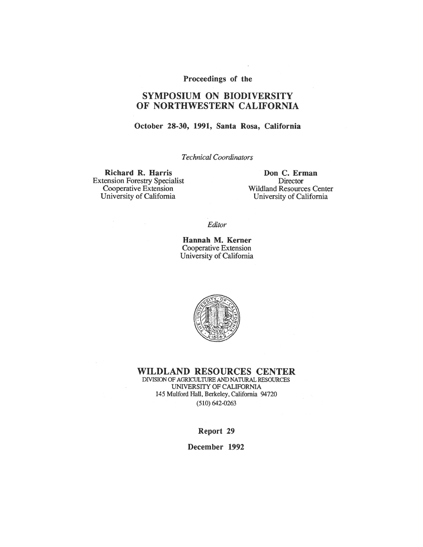#### Proceedings of the

# **SYMPOSIUM ON BIODIVERSITY** OF NORTHWESTERN CALIFORNIA

#### October 28-30, 1991, Santa Rosa, California

**Technical Coordinators** 

Richard R. Harris **Extension Forestry Specialist** Cooperative Extension University of California

Don C. Erman Director **Wildland Resources Center** University of California

Editor

Hannah M. Kerner Cooperative Extension University of California



**WILDLAND RESOURCES CENTER** 

DIVISION OF AGRICULTURE AND NATURAL RESOURCES UNIVERSITY OF CALIFORNIA 145 Mulford Hall, Berkeley, California 94720  $(510) 642 - 0263$ 

Report 29

December 1992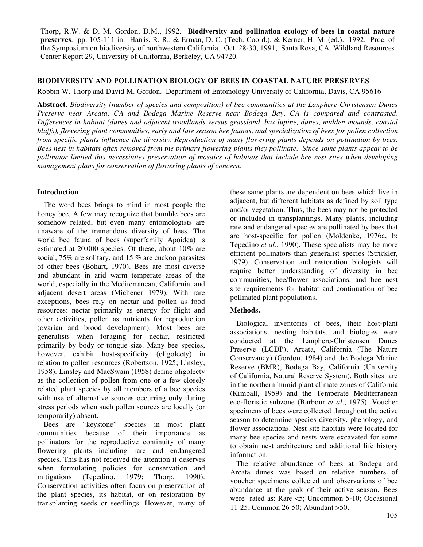Thorp, R.W. & D. M. Gordon, D.M., 1992. **Biodiversity and pollination ecology of bees in coastal nature preserves**. pp. 105-111 in: Harris, R. R., & Erman, D. C. (Tech. Coord.), & Kerner, H. M. (ed.). 1992. Proc. of the Symposium on biodiversity of northwestern California. Oct. 28-30, 1991, Santa Rosa, CA. Wildland Resources Center Report 29, University of California, Berkeley, CA 94720.

### **BIODIVERSITY AND POLLINATION BIOLOGY OF BEES IN COASTAL NATURE PRESERVES**.

Robbin W. Thorp and David M. Gordon. Department of Entomology University of California, Davis, CA 95616

**Abstract**. *Biodiversity (number of species and composition) of bee communities at the Lanphere-Christensen Dunes Preserve near Arcata, CA and Bodega Marine Reserve near Bodega Bay, CA is compared and contrasted. Differences in habitat (dunes and adjacent woodlands versus grassland, bus lupine, dunes, midden mounds, coastal bluffs), flowering plant communities, early and late season bee faunas, and specialization of bees for pollen collection from specific plants influence the diversity. Reproduction of many flowering plants depends on pollination by bees. Bees nest in habitats often removed from the primary flowering plants they pollinate. Since some plants appear to be pollinator limited this necessitates preservation of mosaics of habitats that include bee nest sites when developing management plans for conservation of flowering plants of concern.*

## **Introduction**

The word bees brings to mind in most people the honey bee. A few may recognize that bumble bees are somehow related, but even many entomologists are unaware of the tremendous diversity of bees. The world bee fauna of bees (superfamily Apoidea) is estimated at 20,000 species. Of these, about 10% are social, 75% are solitary, and 15 % are cuckoo parasites of other bees (Bohart, 1970). Bees are most diverse and abundant in arid warm temperate areas of the world, especially in the Mediterranean, California, and adjacent desert areas (Michener 1979). With rare exceptions, bees rely on nectar and pollen as food resources: nectar primarily as energy for flight and other activities, pollen as nutrients for reproduction (ovarian and brood development). Most bees are generalists when foraging for nectar, restricted primarily by body or tongue size. Many bee species, however, exhibit host-specificity (oligolecty) in relation to pollen resources (Robertson, 1925; Linsley, 1958). Linsley and MacSwain (1958) define oligolecty as the collection of pollen from one or a few closely related plant species by all members of a bee species with use of alternative sources occurring only during stress periods when such pollen sources are locally (or temporarily) absent.

Bees are "keystone" species in most plant communities because of their importance as pollinators for the reproductive continuity of many flowering plants including rare and endangered species. This has not received the attention it deserves when formulating policies for conservation and mitigations (Tepedino, 1979; Thorp, 1990). Conservation activities often focus on preservation of the plant species, its habitat, or on restoration by transplanting seeds or seedlings. However, many of these same plants are dependent on bees which live in adjacent, but different habitats as defined by soil type and/or vegetation. Thus, the bees may not be protected or included in transplantings. Many plants, including rare and endangered species are pollinated by bees that are host-specific for pollen (Moldenke, 1976a, b; Tepedino *et al*., 1990). These specialists may be more efficient pollinators than generalist species (Strickler, 1979). Conservation and restoration biologists will require better understanding of diversity in bee communities, bee/flower associations, and bee nest site requirements for habitat and continuation of bee pollinated plant populations.

## **Methods.**

Biological inventories of bees, their host-plant associations, nesting habitats, and biologies were conducted at the Lanphere-Christensen Dunes Preserve (LCDP), Arcata, California (The Nature Conservancy) (Gordon, 1984) and the Bodega Marine Reserve (BMR), Bodega Bay, California (University of California, Natural Reserve System). Both sites are in the northern humid plant climate zones of California (Kimball, 1959) and the Temperate Mediterranean eco-floristic subzone (Barbour *et al*., 1975). Voucher specimens of bees were collected throughout the active season to determine species diversity, phenology, and flower associations. Nest site habitats were located for many bee species and nests were excavated for some to obtain nest architecture and additional life history information.

The relative abundance of bees at Bodega and Arcata dunes was based on relative numbers of voucher specimens collected and observations of bee abundance at the peak of their active season. Bees were rated as: Rare <5; Uncommon 5-10; Occasional 11-25; Common 26-50; Abundant >50.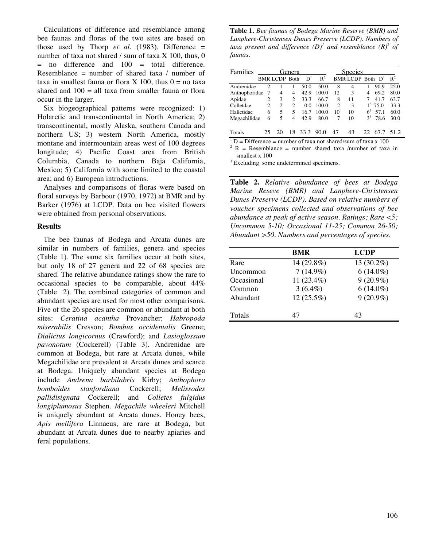Calculations of difference and resemblance among bee faunas and floras of the two sites are based on those used by Thorp *et al.* (1983). Difference  $=$ number of taxa not shared / sum of taxa X 100, thus, 0  $=$  no difference and  $100 =$  total difference. Resemblance = number of shared taxa  $/$  number of taxa in smallest fauna or flora X 100, thus  $0 =$  no taxa shared and  $100 =$  all taxa from smaller fauna or flora occur in the larger.

Six biogeographical patterns were recognized: 1) Holarctic and transcontinental in North America; 2) transcontinental, mostly Alaska, southern Canada and northern US; 3) western North America, mostly montane and intermountain areas west of 100 degrees longitude; 4) Pacific Coast area from British Columbia, Canada to northern Baja California, Mexico; 5) California with some limited to the coastal area; and 6) European introductions.

Analyses and comparisons of floras were based on floral surveys by Barbour (1970, 1972) at BMR and by Barker (1976) at LCDP. Data on bee visited flowers were obtained from personal observations.

#### **Results**

The bee faunas of Bodega and Arcata dunes are similar in numbers of families, genera and species (Table 1). The same six families occur at both sites, but only 18 of 27 genera and 22 of 68 species are shared. The relative abundance ratings show the rare to occasional species to be comparable, about 44% (Table 2). The combined categories of common and abundant species are used for most other comparisons. Five of the 26 species are common or abundant at both sites: *Ceratina acantha* Provancher; *Habropoda miserabilis* Cresson; *Bombus occidentalis* Greene; *Dialictus longicornus* (Crawford); and *Lasioglossum pavonotum* (Cockerell) (Table 3). Andrenidae are common at Bodega, but rare at Arcata dunes, while Megachilidae are prevalent at Arcata dunes and scarce at Bodega. Uniquely abundant species at Bodega include *Andrena barbilabris* Kirby; *Anthophora bomboides stanfordiana* Cockerell; *Melissodes pallidisignata* Cockerell; and *Colletes fulgidus longiplumosus* Stephen. *Megachile wheeleri* Mitchell is uniquely abundant at Arcata dunes. Honey bees, *Apis mellifera* Linnaeus, are rare at Bodega, but abundant at Arcata dunes due to nearby apiaries and feral populations.

**Table 1.** *Bee faunas of Bodega Marine Reserve (BMR) and Lanphere-Christensen Dunes Preserve (LCDP). Numbers of* taxa present and difference  $(D)^{1}$  and resemblance  $(R)^{2}$  of *faunas.*

| Families      |                |                      | Genera         |                |       |    | <b>Species</b>      |                |            |                |
|---------------|----------------|----------------------|----------------|----------------|-------|----|---------------------|----------------|------------|----------------|
|               |                | <b>BMR LCDP Both</b> |                | D <sup>1</sup> | $R^2$ |    | BMR LCDP Both $D^1$ |                |            | $\mathbb{R}^2$ |
| Andrenidae    | $\mathcal{P}$  |                      |                | 50.0           | 50.0  | 8  | 4                   |                | 90.9       | 25.0           |
| Anthophoridae |                | 4                    | 4              | 42.9           | 100.0 | 12 | 5                   | 4              | 69.2       | 80.0           |
| Apidae        | 2              | 3                    | $\overline{c}$ | 33.3           | 66.7  | 8  | 11                  |                | 41.7       | 63.7           |
| Colletdae     | $\overline{2}$ | $\mathfrak{D}$       | $\mathfrak{D}$ | 0.0            | 100.0 | 2  | 3                   |                | $1^3$ 75.0 | 33.3           |
| Halictidae    | 6              | 5                    | 5              | 16.7           | 100.0 | 10 | 10                  | 6 <sup>3</sup> | 57.1       | 60.0           |
| Megachilidae  | 6              | 5                    | 4              | 42.9           | 80.0  | 7  | 10                  |                | $3^3$ 78.6 | 30.0           |
| Totals        |                |                      |                | 33.3           | 90.0  | 47 | 43                  | 22.            | 67.7       | 512            |

 $1 D$  = Difference = number of taxa not shared/sum of taxa x 100

<sup>2</sup> R = Resemblance = number shared taxa /number of taxa in smallest x 100

<sup>3</sup> Excluding some undetermined specimens.

**Table 2.** *Relative abundance of bees at Bodega Marine Reseve (BMR) and Lanphere-Christensen Dunes Preserve (LCDP). Based on relative numbers of voucher specimens collected and observations of bee abundance at peak of active season. Ratings: Rare <5; Uncommon 5-10; Occasional 11-25; Common 26-50; Abundant >50. Numbers and percentages of species.*

|            | <b>BMR</b>   | <b>LCDP</b> |
|------------|--------------|-------------|
| Rare       | 14 (29.8%)   | 13 (30.2%)  |
| Uncommon   | $7(14.9\%)$  | $6(14.0\%)$ |
| Occasional | 11 (23.4%)   | $9(20.9\%)$ |
| Common     | $3(6.4\%)$   | $6(14.0\%)$ |
| Abundant   | $12(25.5\%)$ | $9(20.9\%)$ |
| Totals     | 47           | 43          |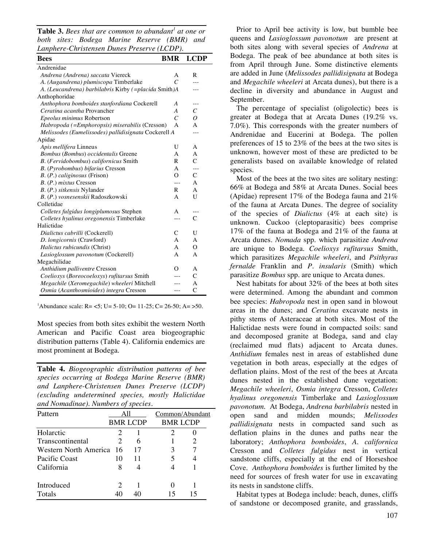**Table 3.** *Bees that are common to abundant <sup>1</sup> at one or both sites: Bodega Marine Reserve (BMR) and Lanphere-Christensen Dunes Preserve (LCDP).*

| - - -- - - -<br><b>Bees</b>                          | <b>BMR</b>     | <b>LCDP</b>    |
|------------------------------------------------------|----------------|----------------|
| Andrenidae                                           |                |                |
| Andrena (Andrena) saccata Viereck                    | А              | R              |
| A. (Augandrena) plumiscopa Timberlake                | $\mathcal{C}$  | $ -$           |
| A. (Leucandrena) barbilabris Kirby (=placida Smith)A |                |                |
| Anthophoridae                                        |                |                |
| Anthophora bomboides stanfordiana Cockerell          | A              | $---$          |
| Ceratina acantha Provancher                          | A              | $\mathcal{C}$  |
| Epeolus minimus Robertson                            | $\mathcal{C}$  | $\overline{O}$ |
| Habropoda (=Emphoropsis) miserabilis (Cresson)       | A              | $\mathsf{A}$   |
| Melissodes (Eumelissodes) pallidisignata Cockerell A |                | ---            |
| Apidae                                               |                |                |
| Apis mellifera Linneus                               | U              | A              |
| Bombus (Bombus) occidentalis Greene                  | A              | A              |
| B. (Fervidobombus) californicus Smith                | R              | $\mathsf{C}$   |
| B. (Pyrobombus) bifarius Cresson                     | A              | $---$          |
| B. (P.) caliginosus (Frison)                         | $\overline{O}$ | $\mathsf{C}$   |
| $B. (P.)$ mixtus Cresson                             | ---            | A              |
| B. (P.) sitkensis Nylander                           | R              | A              |
| B. (P.) vosnesenskii Radoszkowski                    | A              | U              |
| Colletidae                                           |                |                |
| Colletes fulgidus longiplumosus Stephen              | A              | $---$          |
| Colletes hyalinus oregonensis Timberlake             | ---            | $\mathsf{C}$   |
| Halictidae                                           |                |                |
| Dialictus cabrilli (Cockerell)                       | C              | U              |
| D. longicornis (Crawford)                            | A              | A              |
| Halictus rubicundis (Christ)                         | A              | O              |
| Lasioglossum pavonotum (Cockerell)                   | A              | A              |
| Megachilidae                                         |                |                |
| Anthidium palliventre Cresson                        | Ω              | A              |
| Coelioxys (Boreocoeloxys) rufitarsus Smith           |                | $\mathsf{C}$   |
| Megachile (Xeromegachile) wheeleri Mitchell          |                | A              |
| Osmia (Acanthosmioides) integra Cresson              | ---            | $\overline{C}$ |

<sup>1</sup>Abundance scale: R= <5; U= 5-10; O= 11-25; C= 26-50; A= >50.

Most species from both sites exhibit the western North American and Pacific Coast area biogeographic distribution patterns (Table 4). California endemics are most prominent at Bodega.

**Table 4.** *Biogeographic distribution patterns of bee species occurring at Bodega Marine Reserve (BMR) and Lanphere-Christensen Dunes Preserve (LCDP) (excluding undetermined species, mostly Halictidae and Nomadinae). Numbers of species.*

| Pattern                  |    |                 | Common/Abundant |    |  |
|--------------------------|----|-----------------|-----------------|----|--|
|                          |    | <b>BMR LCDP</b> | <b>BMR LCDP</b> |    |  |
| Holarctic                |    |                 | 2               |    |  |
| Transcontinental         |    | 6               |                 |    |  |
| Western North America 16 |    | 17              |                 |    |  |
| Pacific Coast            | 10 | 11              |                 |    |  |
| California               | 8  |                 |                 |    |  |
| Introduced               | 2  |                 |                 |    |  |
| <b>Totals</b>            | 40 |                 | 15              | 15 |  |

Prior to April bee activity is low, but bumble bee queens and *Lasioglossum pavonotum* are present at both sites along with several species of *Andrena* at Bodega. The peak of bee abundance at both sites is from April through June. Some distinctive elements are added in June (*Melissodes pallidisignata* at Bodega and *Megachile wheeleri* at Arcata dunes), but there is a decline in diversity and abundance in August and September.

The percentage of specialist (oligolectic) bees is greater at Bodega that at Arcata Dunes (19.2% vs. 7.0%). This corresponds with the greater numbers of Andrenidae and Eucerini at Bodega. The pollen preferences of 15 to 23% of the bees at the two sites is unknown, however most of these are predicted to be generalists based on available knowledge of related species.

Most of the bees at the two sites are solitary nesting: 66% at Bodega and 58% at Arcata Dunes. Social bees (Apidae) represent 17% of the Bodega fauna and 21% of the fauna at Arcata Dunes. The degree of sociality of the species of *Dialictus* (4% at each site) is unknown. Cuckoo (cleptoparasitic) bees comprise 17% of the fauna at Bodega and 21% of the fauna at Arcata dunes. *Nomada* spp. which parasitize *Andrena* are unique to Bodega. *Coelioxys rufitarsus* Smith, which parasitizes *Megachile wheeleri*, and *Psithyrus fernalde* Franklin and *P. insularis* (Smith) which parasitize *Bombus* spp. are unique to Arcata dunes.

Nest habitats for about 32% of the bees at both sites were determined. Among the abundant and common bee species: *Habropoda* nest in open sand in blowout areas in the dunes; and *Ceratina* excavate nests in pithy stems of Asteraceae at both sites. Most of the Halictidae nests were found in compacted soils: sand and decomposed granite at Bodega, sand and clay (reclaimed mud flats) adjacent to Arcata dunes. *Anthidium* females nest in areas of established dune vegetation in both areas, especially at the edges of deflation plains. Most of the rest of the bees at Arcata dunes nested in the established dune vegetation: *Megachile wheeleri*, *Osmia integra* Cresson, *Colletes hyalinus oregonensis* Timberlake and *Lasioglossum pavonotum*. At Bodega, *Andrena barbilabris* nested in open sand and midden mounds; *Melissodes pallidisignata* nests in compacted sand such as deflation plains in the dunes and paths near the laboratory; *Anthophora bomboides*, *A. californica* Cresson and *Colletes fulgidus* nest in vertical sandstone cliffs, especially at the end of Horseshoe Cove. *Anthophora bomboides* is further limited by the need for sources of fresh water for use in excavating its nests in sandstone cliffs.

Habitat types at Bodega include: beach, dunes, cliffs of sandstone or decomposed granite, and grasslands,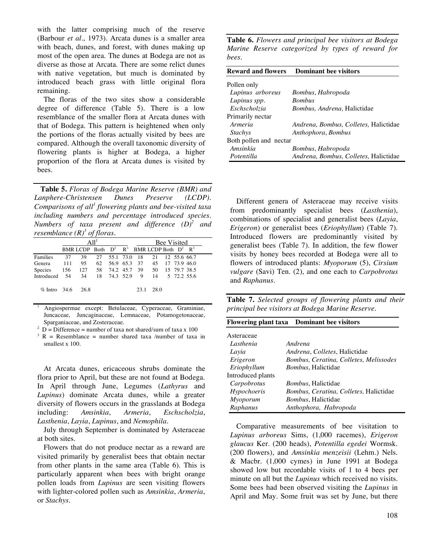with the latter comprising much of the reserve (Barbour *et al*., 1973). Arcata dunes is a smaller area with beach, dunes, and forest, with dunes making up most of the open area. The dunes at Bodega are not as diverse as those at Arcata. There are some relict dunes with native vegetation, but much is dominated by introduced beach grass with little original flora remaining.

The floras of the two sites show a considerable degree of difference (Table 5). There is a low resemblance of the smaller flora at Arcata dunes with that of Bodega. This pattern is heightened when only the portions of the floras actually visited by bees are compared. Although the overall taxonomic diversity of flowering plants is higher at Bodega, a higher proportion of the flora at Arcata dunes is visited by bees.

**Table 5.** *Floras of Bodega Marine Reserve (BMR) and Lanphere-Christensen Dunes Preserve (LCDP). Comparisons of all <sup>1</sup> flowering plants and bee-visited taxa including numbers and percentage introduced species. Numbers of taxa present and difference (D) <sup>2</sup> and resemblance (R) <sup>3</sup> of floras.*

|                                                 |     |      |    |  |  | <b>Bee Visited</b>                                                    |      |  |                |  |  |
|-------------------------------------------------|-----|------|----|--|--|-----------------------------------------------------------------------|------|--|----------------|--|--|
|                                                 |     |      |    |  |  | BMR LCDP Both $D^2$ R <sup>3</sup> BMR LCDP Both $D^2$ R <sup>3</sup> |      |  |                |  |  |
| Families                                        | 37  | 39   |    |  |  | 27 55.1 73.0 18 21 12 55.6 66.7                                       |      |  |                |  |  |
| Genera                                          | 111 | 95   | 62 |  |  | 56.9 65.3 37 45 17 73.9 46.0                                          |      |  |                |  |  |
| Species 156 127 58 74.2 45.7 39 50 15 79.7 38.5 |     |      |    |  |  |                                                                       |      |  |                |  |  |
| Introduced 54                                   |     |      |    |  |  | 34 18 74.3 52.9 9                                                     |      |  | 14 5 72.2 55.6 |  |  |
| $\%$ Intro 34.6                                 |     | 26.8 |    |  |  | 23.1                                                                  | 28.0 |  |                |  |  |

<sup>1</sup> Angiospermae except: Betulaceae, Cyperaceae, Graminiae, Juncaceae, Juncaginaceae, Lemnaceae, Potamogetonaceae, Sparganiaceae, and Zosteraceae.

 $D =$  Difference = number of taxa not shared/sum of taxa x 100

 $R =$  Resemblance = number shared taxa /number of taxa in smallest x 100.

At Arcata dunes, ericaceous shrubs dominate the flora prior to April, but these are not found at Bodega. In April through June, Legumes (*Lathyrus* and *Lupinus*) dominate Arcata dunes, while a greater diversity of flowers occurs in the grasslands at Bodega including: *Amsinkia*, *Armeria*, *Eschscholzia*, *Lasthenia*, *Layia*, *Lupinus*, and *Nemophila*.

July through September is dominated by Asteraceae at both sites.

Flowers that do not produce nectar as a reward are visited primarily by generalist bees that obtain nectar from other plants in the same area (Table 6). This is particularly apparent when bees with bright orange pollen loads from *Lupinus* are seen visiting flowers with lighter-colored pollen such as *Amsinkia*, *Armeria*, or *Stachys*.

**Table 6.** *Flowers and principal bee visitors at Bodega Marine Reserve categorized by types of reward for bees.*

| <b>Reward and flowers</b> | <b>Dominant bee visitors</b>                 |
|---------------------------|----------------------------------------------|
| Pollen only               |                                              |
| Lupinus arboreus          | Bombus, Habropoda                            |
| Lupinus spp.              | <b>Bombus</b>                                |
| Eschscholzia              | Bombus, Andrena, Halictidae                  |
| Primarily nectar          |                                              |
| Armeria                   | <i>Andrena, Bombus, Colletes, Halictidae</i> |
| <b>Stachys</b>            | Anthophora, Bombus                           |
| Both pollen and nectar    |                                              |
| Amsinkia                  | Bombus, Habropoda                            |
| Potentilla                | Andrena, Bombus, Colletes, Halictidae        |

Different genera of Asteraceae may receive visits from predominantly specialist bees (*Lasthenia*), combinations of specialist and generalist bees (*Layia*, *Erigeron*) or generalist bees (*Eriophyllum*) (Table 7). Introduced flowers are predominantly visited by generalist bees (Table 7). In addition, the few flower visits by honey bees recorded at Bodega were all to flowers of introduced plants: *Myoporum* (5), *Cirsium vulgare* (Savi) Ten. (2), and one each to *Carpobrotus* and *Raphanus*.

**Table 7.** *Selected groups of flowering plants and their principal bee visitors at Bodega Marine Reserve.*

|                   | <b>Flowering plant taxa</b> Dominant bee visitors |
|-------------------|---------------------------------------------------|
| Asteraceae        |                                                   |
| Lasthenia         | Andrena                                           |
| Layia             | <i>Andrena, Colletes, Halictidae</i>              |
| Erigeron          | Bombus, Ceratina, Colletes, Melissodes            |
| Eriophyllum       | <i>Bombus</i> , Halictidae                        |
| Introduced plants |                                                   |
| Carpobrotus       | <i>Bombus</i> , Halictidae                        |
| Hypochoeris       | Bombus, Ceratina, Colletes, Halictidae            |
| Myoporum          | <i>Bombus</i> , Halictidae                        |
| Raphanus          | Anthophora, Habropoda                             |

Comparative measurements of bee visitation to *Lupinus arboreus* Sims, (1,000 racemes), *Erigeron glaucus* Ker. (200 heads), *Potentilla egedei* Wormsk. (200 flowers), and *Amsinkia menzeisii* (Lehm.) Nels. & Macbr. (1,000 cymes) in June 1991 at Bodega showed low but recordable visits of 1 to 4 bees per minute on all but the *Lupinus* which received no visits. Some bees had been observed visiting the *Lupinus* in April and May. Some fruit was set by June, but there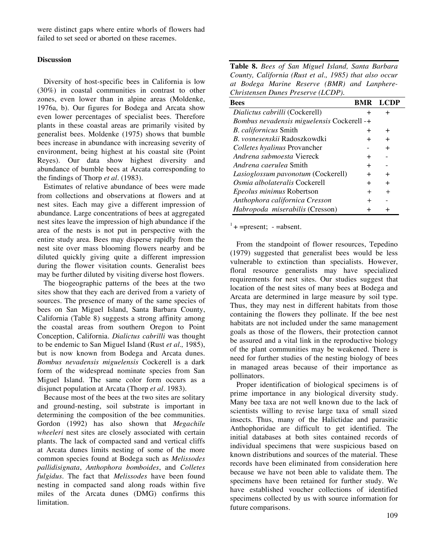were distinct gaps where entire whorls of flowers had failed to set seed or aborted on these racemes.

#### **Discussion**

Diversity of host-specific bees in California is low (30%) in coastal communities in contrast to other zones, even lower than in alpine areas (Moldenke, 1976a, b). Our figures for Bodega and Arcata show even lower percentages of specialist bees. Therefore plants in these coastal areas are primarily visited by generalist bees. Moldenke (1975) shows that bumble bees increase in abundance with increasing severity of environment, being highest at his coastal site (Point Reyes). Our data show highest diversity and abundance of bumble bees at Arcata corresponding to the findings of Thorp *et al*. (1983).

Estimates of relative abundance of bees were made from collections and observations at flowers and at nest sites. Each may give a different impression of abundance. Large concentrations of bees at aggregated nest sites leave the impression of high abundance if the area of the nests is not put in perspective with the entire study area. Bees may disperse rapidly from the nest site over mass blooming flowers nearby and be diluted quickly giving quite a different impression during the flower visitation counts. Generalist bees may be further diluted by visiting diverse host flowers.

The biogeographic patterns of the bees at the two sites show that they each are derived from a variety of sources. The presence of many of the same species of bees on San Miguel Island, Santa Barbara County, California (Table 8) suggests a strong affinity among the coastal areas from southern Oregon to Point Conception, California. *Dialictus cabrilli* was thought to be endemic to San Miguel Island (Rust *et al.,* 1985), but is now known from Bodega and Arcata dunes. *Bombus nevadensis miguelensis* Cockerell is a dark form of the widespread nominate species from San Miguel Island. The same color form occurs as a disjunct population at Arcata (Thorp *et al*. 1983).

Because most of the bees at the two sites are solitary and ground-nesting, soil substrate is important in determining the composition of the bee communities. Gordon (1992) has also shown that *Megachile wheeleri* nest sites are closely associated with certain plants. The lack of compacted sand and vertical cliffs at Arcata dunes limits nesting of some of the more common species found at Bodega such as *Melissodes pallidisignata*, *Anthophora bomboides*, and *Colletes fulgidus*. The fact that *Melissodes* have been found nesting in compacted sand along roads within five miles of the Arcata dunes (DMG) confirms this limitation.

| Table 8. Bees of San Miguel Island, Santa Barbara      |
|--------------------------------------------------------|
| County, California (Rust et al., 1985) that also occur |
| at Bodega Marine Reserve (BMR) and Lanphere-           |
| Christensen Dunes Preserve (LCDP).                     |

| <b>Bees</b>                                |        | <b>BMR LCDP</b> |
|--------------------------------------------|--------|-----------------|
| Dialictus cabrilli (Cockerell)             | ┿      | $\pm$           |
| Bombus nevadensis miguelensis Cockerell -+ |        |                 |
| <i>B. californicus Smith</i>               | $\pm$  | $^+$            |
| B. vosnesenskij Radoszkowdki               | $\pm$  | $\pm$           |
| Colletes hyalinus Provancher               |        | $\pm$           |
| Andrena submoesta Viereck                  | $\pm$  |                 |
| <i>Andrena caerulea</i> Smith              | $\pm$  |                 |
| Lasioglossum pavonotum (Cockerell)         | $\pm$  | $\pm$           |
| Osmia albolateralis Cockerell              | $\pm$  | $\pm$           |
| Epeolus minimus Robertson                  | $^{+}$ | $^{+}$          |
| Anthophora californica Cresson             | $^+$   |                 |
| Habropoda miserabilis (Cresson)            | $^+$   | +               |

 $1 +$  =present; - =absent.

From the standpoint of flower resources, Tepedino (1979) suggested that generalist bees would be less vulnerable to extinction than specialists. However, floral resource generalists may have specialized requirements for nest sites. Our studies suggest that location of the nest sites of many bees at Bodega and Arcata are determined in large measure by soil type. Thus, they may nest in different habitats from those containing the flowers they pollinate. If the bee nest habitats are not included under the same management goals as those of the flowers, their protection cannot be assured and a vital link in the reproductive biology of the plant communities may be weakened. There is need for further studies of the nesting biology of bees in managed areas because of their importance as pollinators.

Proper identification of biological specimens is of prime importance in any biological diversity study. Many bee taxa are not well known due to the lack of scientists willing to revise large taxa of small sized insects. Thus, many of the Halictidae and parasitic Anthophoridae are difficult to get identified. The initial databases at both sites contained records of individual specimens that were suspicious based on known distributions and sources of the material. These records have been eliminated from consideration here because we have not been able to validate them. The specimens have been retained for further study. We have established voucher collections of identified specimens collected by us with source information for future comparisons.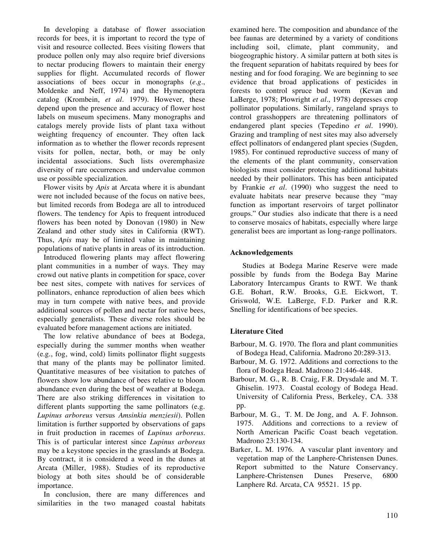In developing a database of flower association records for bees, it is important to record the type of visit and resource collected. Bees visiting flowers that produce pollen only may also require brief diversions to nectar producing flowers to maintain their energy supplies for flight. Accumulated records of flower associations of bees occur in monographs (*e.g*., Moldenke and Neff, 1974) and the Hymenoptera catalog (Krombein, *et al*. 1979). However, these depend upon the presence and accuracy of flower host labels on museum specimens. Many monographs and catalogs merely provide lists of plant taxa without weighting frequency of encounter. They often lack information as to whether the flower records represent visits for pollen, nectar, both, or may be only incidental associations. Such lists overemphasize diversity of rare occurrences and undervalue common use or possible specialization.

Flower visits by *Apis* at Arcata where it is abundant were not included because of the focus on native bees, but limited records from Bodega are all to introduced flowers. The tendency for Apis to frequent introduced flowers has been noted by Donovan (1980) in New Zealand and other study sites in California (RWT). Thus, *Apis* may be of limited value in maintaining populations of native plants in areas of its introduction.

Introduced flowering plants may affect flowering plant communities in a number of ways. They may crowd out native plants in competition for space, cover bee nest sites, compete with natives for services of pollinators, enhance reproduction of alien bees which may in turn compete with native bees, and provide additional sources of pollen and nectar for native bees, especially generalists. These diverse roles should be evaluated before management actions are initiated.

The low relative abundance of bees at Bodega, especially during the summer months when weather (e.g., fog, wind, cold) limits pollinator flight suggests that many of the plants may be pollinator limited. Quantitative measures of bee visitation to patches of flowers show low abundance of bees relative to bloom abundance even during the best of weather at Bodega. There are also striking differences in visitation to different plants supporting the same pollinators (e.g. *Lupinus arboreus* versus *Amsinkia menziesii*). Pollen limitation is further supported by observations of gaps in fruit production in racemes of *Lupinus arboreus*. This is of particular interest since *Lupinus arboreus* may be a keystone species in the grasslands at Bodega. By contract, it is considered a weed in the dunes at Arcata (Miller, 1988). Studies of its reproductive biology at both sites should be of considerable importance.

In conclusion, there are many differences and similarities in the two managed coastal habitats

examined here. The composition and abundance of the bee faunas are determined by a variety of conditions including soil, climate, plant community, and biogeographic history. A similar pattern at both sites is the frequent separation of habitats required by bees for nesting and for food foraging. We are beginning to see evidence that broad applications of pesticides in forests to control spruce bud worm (Kevan and LaBerge, 1978; Plowright *et al*., 1978) depresses crop pollinator populations. Similarly, rangeland sprays to control grasshoppers are threatening pollinators of endangered plant species (Tepedino *et al*. 1990). Grazing and trampling of nest sites may also adversely effect pollinators of endangered plant species (Sugden, 1985). For continued reproductive success of many of the elements of the plant community, conservation biologists must consider protecting additional habitats needed by their pollinators. This has been anticipated by Frankie *et al*. (1990) who suggest the need to evaluate habitats near preserve because they "may function as important reservoirs of target pollinator groups." Our studies also indicate that there is a need to conserve mosaics of habitats, especially where large generalist bees are important as long-range pollinators.

## **Acknowledgements**

Studies at Bodega Marine Reserve were made possible by funds from the Bodega Bay Marine Laboratory Intercampus Grants to RWT. We thank G.E. Bohart, R.W. Brooks, G.E. Eickwort, T. Griswold, W.E. LaBerge, F.D. Parker and R.R. Snelling for identifications of bee species.

## **Literature Cited**

- Barbour, M. G. 1970. The flora and plant communities of Bodega Head, California. Madrono 20:289-313.
- Barbour, M. G. 1972. Additions and corrections to the flora of Bodega Head. Madrono 21:446-448.
- Barbour, M. G., R. B. Craig, F.R. Drysdale and M. T. Ghiselin. 1973. Coastal ecology of Bodega Head. University of California Press, Berkeley, CA. 338 pp.
- Barbour, M. G., T. M. De Jong, and A. F. Johnson. 1975. Additions and corrections to a review of North American Pacific Coast beach vegetation. Madrono 23:130-134.
- Barker, L. M. 1976. A vascular plant inventory and vegetation map of the Lanphere-Christensen Dunes. Report submitted to the Nature Conservancy. Lanphere-Christensen Dunes Preserve, 6800 Lanphere Rd. Arcata, CA 95521. 15 pp.